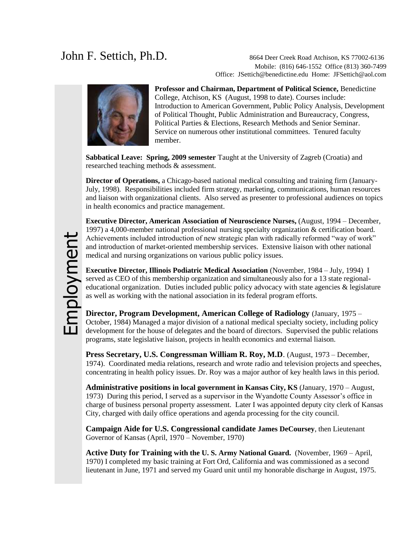John F. Settich, Ph.D. 8664 Deer Creek Road Atchison, KS 77002-6136 Mobile: (816) 646-1552 Office (813) 360-7499 Office: [JSettich@benedictine.edu](mailto:JSettich@benedictine.edu) Home: [JFSettich@aol.com](mailto:JFSettich@aol.com)



**Professor and Chairman, Department of Political Science,** Benedictine College, Atchison, KS (August, 1998 to date). Courses include: Introduction to American Government, Public Policy Analysis, Development of Political Thought, Public Administration and Bureaucracy, Congress, Political Parties & Elections, Research Methods and Senior Seminar. Service on numerous other institutional committees. Tenured faculty member.

**Sabbatical Leave: Spring, 2009 semester** Taught at the University of Zagreb (Croatia) and researched teaching methods & assessment.

**Director of Operations,** a Chicago-based national medical consulting and training firm (January-July, 1998). Responsibilities included firm strategy, marketing, communications, human resources and liaison with organizational clients. Also served as presenter to professional audiences on topics in health economics and practice management.

**Executive Director, American Association of Neuroscience Nurses,** (August, 1994 – December, 1997) a 4,000-member national professional nursing specialty organization & certification board. Achievements included introduction of new strategic plan with radically reformed "way of work" and introduction of market-oriented membership services. Extensive liaison with other national medical and nursing organizations on various public policy issues.

**Executive Director, Illinois Podiatric Medical Association** (November, 1984 – July, 1994) I served as CEO of this membership organization and simultaneously also for a 13 state regionaleducational organization. Duties included public policy advocacy with state agencies  $\&$  legislature as well as working with the national association in its federal program efforts.

**Director, Program Development, American College of Radiology** (January, 1975 – October, 1984) Managed a major division of a national medical specialty society, including policy development for the house of delegates and the board of directors. Supervised the public relations programs, state legislative liaison, projects in health economics and external liaison.

**Press Secretary, U.S. Congressman William R. Roy, M.D**. (August, 1973 – December, 1974). Coordinated media relations, research and wrote radio and television projects and speeches, concentrating in health policy issues. Dr. Roy was a major author of key health laws in this period.

**Administrative positions in local government in Kansas City, KS** (January, 1970 – August, 1973) During this period, I served as a supervisor in the Wyandotte County Assessor's office in charge of business personal property assessment. Later I was appointed deputy city clerk of Kansas City, charged with daily office operations and agenda processing for the city council.

**Campaign Aide for U.S. Congressional candidate James DeCoursey**, then Lieutenant Governor of Kansas (April, 1970 – November, 1970)

**Active Duty for Training with the U. S. Army National Guard.** (November, 1969 – April, 1970) I completed my basic training at Fort Ord, California and was commissioned as a second lieutenant in June, 1971 and served my Guard unit until my honorable discharge in August, 1975.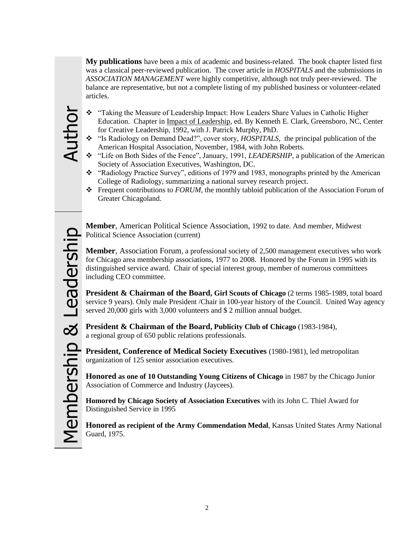**My publications** have been a mix of academic and business-related. The book chapter listed first was a classical peer-reviewed publication. The cover article in *HOSPITALS* and the submissions in *ASSOCIATION MANAGEMENT* were highly competitive, although not truly peer-reviewed. The balance are representative, but not a complete listing of my published business or volunteer-related articles.

- "Taking the Measure of Leadership Impact: How Leaders Share Values in Catholic Higher Education. Chapter in Impact of Leadership, ed. By Kenneth E. Clark, Greensboro, NC, Center for Creative Leadership, 1992, with J. Patrick Murphy, PhD.
- "Is Radiology on Demand Dead?", cover story, *HOSPITALS,* the principal publication of the American Hospital Association, November, 1984, with John Roberts.
- "Life on Both Sides of the Fence", January, 1991, *LEADERSHIP,* a publication of the American Society of Association Executives, Washington, DC.
- $\cdot$  "Radiology Practice Survey", editions of 1979 and 1983, monographs printed by the American College of Radiology, summarizing a national survey research project.
- Frequent contributions to *FORUM,* the monthly tabloid publication of the Association Forum of Greater Chicagoland.

**Member**, American Political Science Association, 1992 to date. And member, Midwest Political Science Association (current)

**Member**, Association Forum, a professional society of 2,500 management executives who work for Chicago area membership associations, 1977 to 2008. Honored by the Forum in 1995 with its distinguished service award. Chair of special interest group, member of numerous committees including CEO committee.

**President & Chairman of the Board, Girl Scouts of Chicago** (2 terms 1985-1989, total board service 9 years). Only male President /Chair in 100-year history of the Council. United Way agency served 20,000 girls with 3,000 volunteers and \$ 2 million annual budget.

**President & Chairman of the Board, Publicity Club of Chicago** (1983-1984), a regional group of 650 public relations professionals.

**President, Conference of Medical Society Executives** (1980-1981), led metropolitan organization of 125 senior association executives.

**Honored as one of 10 Outstanding Young Citizens of Chicago** in 1987 by the Chicago Junior Association of Commerce and Industry (Jaycees).

**Homored by Chicago Society of Association Executives** with its John C. Thiel Award for Distinguished Service in 1995

**Honored as recipient of the Army Commendation Medal**, Kansas United States Army National Guard, 1975.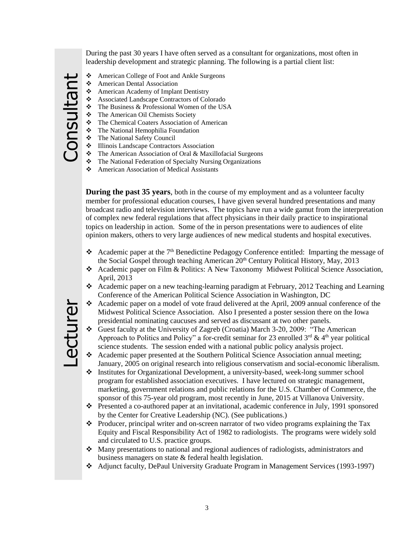During the past 30 years I have often served as a consultant for organizations, most often in leadership development and strategic planning. The following is a partial client list:

- American College of Foot and Ankle Surgeons
	- American Dental Association
	- American Academy of Implant Dentistry
	- Associated Landscape Contractors of Colorado
	- $\triangle$  The Business & Professional Women of the USA
	- **The American Oil Chemists Society**
	- The Chemical Coaters Association of American
	- The National Hemophilia Foundation
	- The National Safety Council
	- $\bullet$  Illinois Landscape Contractors Association
	- The American Association of Oral & Maxillofacial Surgeons
	- The National Federation of Specialty Nursing Organizations
	- American Association of Medical Assistants

**During the past 35 years**, both in the course of my employment and as a volunteer faculty member for professional education courses, I have given several hundred presentations and many broadcast radio and television interviews. The topics have run a wide gamut from the interpretation of complex new federal regulations that affect physicians in their daily practice to inspirational topics on leadership in action. Some of the in person presentations were to audiences of elite opinion makers, others to very large audiences of new medical students and hospital executives.

- Academic paper at the  $7<sup>th</sup>$  Benedictine Pedagogy Conference entitled: Imparting the message of the Social Gospel through teaching American  $20<sup>th</sup>$  Century Political History, May, 2013
- Academic paper on Film & Politics: A New Taxonomy Midwest Political Science Association, April, 2013
- Academic paper on a new teaching-learning paradigm at February, 2012 Teaching and Learning Conference of the American Political Science Association in Washington, DC
- Academic paper on a model of vote fraud delivered at the April, 2009 annual conference of the Midwest Political Science Association. Also I presented a poster session there on the Iowa presidential nominating caucuses and served as discussant at two other panels.
- Guest faculty at the University of Zagreb (Croatia) March 3-20, 2009: "The American Approach to Politics and Policy" a for-credit seminar for 23 enrolled  $3<sup>rd</sup>$  & 4<sup>th</sup> year political science students. The session ended with a national public policy analysis project.
- Academic paper presented at the Southern Political Science Association annual meeting; January, 2005 on original research into religious conservatism and social-economic liberalism.
- Institutes for Organizational Development, a university-based, week-long summer school program for established association executives. I have lectured on strategic management, marketing, government relations and public relations for the U.S. Chamber of Commerce, the sponsor of this 75-year old program, most recently in June, 2015 at Villanova University.
- $\cdot \cdot$  Presented a co-authored paper at an invitational, academic conference in July, 1991 sponsored by the Center for Creative Leadership (NC). (See publications.)
- Producer, principal writer and on-screen narrator of two video programs explaining the Tax Equity and Fiscal Responsibility Act of 1982 to radiologists. The programs were widely sold and circulated to U.S. practice groups.
- Many presentations to national and regional audiences of radiologists, administrators and business managers on state & federal health legislation.
- Adjunct faculty, DePaul University Graduate Program in Management Services (1993-1997)

Consultant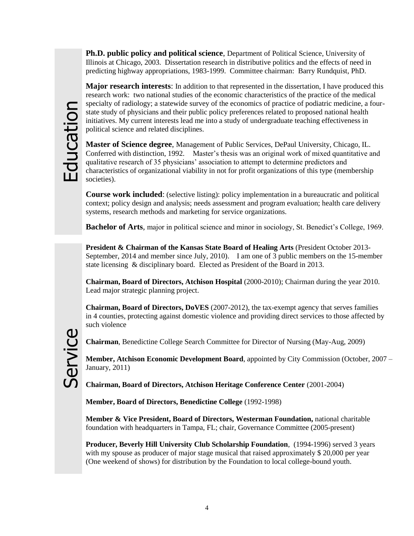**Ph.D. public policy and political science**, Department of Political Science, University of Illinois at Chicago, 2003. Dissertation research in distributive politics and the effects of need in predicting highway appropriations, 1983-1999. Committee chairman: Barry Rundquist, PhD.

**Major research interests**: In addition to that represented in the dissertation, I have produced this research work: two national studies of the economic characteristics of the practice of the medical specialty of radiology; a statewide survey of the economics of practice of podiatric medicine, a fourstate study of physicians and their public policy preferences related to proposed national health initiatives. My current interests lead me into a study of undergraduate teaching effectiveness in political science and related disciplines.

**Master of Science degree**, Management of Public Services, DePaul University, Chicago, IL. Conferred with distinction, 1992. Master's thesis was an original work of mixed quantitative and qualitative research of 35 physicians' association to attempt to determine predictors and characteristics of organizational viability in not for profit organizations of this type (membership societies).

**Course work included**: (selective listing): policy implementation in a bureaucratic and political context; policy design and analysis; needs assessment and program evaluation; health care delivery systems, research methods and marketing for service organizations.

**Bachelor of Arts**, major in political science and minor in sociology, St. Benedict's College, 1969.

**President & Chairman of the Kansas State Board of Healing Arts** (President October 2013- September, 2014 and member since July, 2010). I am one of 3 public members on the 15-member state licensing & disciplinary board. Elected as President of the Board in 2013.

**Chairman, Board of Directors, Atchison Hospital** (2000-2010); Chairman during the year 2010. Lead major strategic planning project.

**Chairman, Board of Directors, DoVES** (2007-2012), the tax-exempt agency that serves families in 4 counties, protecting against domestic violence and providing direct services to those affected by such violence

Service

**Chairman**, Benedictine College Search Committee for Director of Nursing (May-Aug, 2009)

**Member, Atchison Economic Development Board**, appointed by City Commission (October, 2007 – January, 2011)

**Chairman, Board of Directors, Atchison Heritage Conference Center** (2001-2004)

**Member, Board of Directors, Benedictine College** (1992-1998)

**Member & Vice President, Board of Directors, Westerman Foundation,** national charitable foundation with headquarters in Tampa, FL; chair, Governance Committee (2005-present)

**Producer, Beverly Hill University Club Scholarship Foundation**, (1994-1996) served 3 years with my spouse as producer of major stage musical that raised approximately \$20,000 per year (One weekend of shows) for distribution by the Foundation to local college-bound youth.